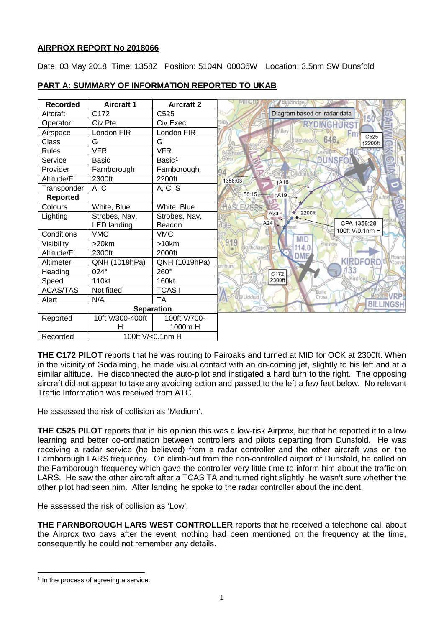# **AIRPROX REPORT No 2018066**

Date: 03 May 2018 Time: 1358Z Position: 5104N 00036W Location: 3.5nm SW Dunsfold

| <b>Recorded</b>   | <b>Aircraft 1</b>  | <b>Aircraft 2</b>  |                                         |
|-------------------|--------------------|--------------------|-----------------------------------------|
| Aircraft          | C <sub>172</sub>   | C <sub>525</sub>   | Diagram based on radar data             |
| Operator          | Civ Pte            | Civ Exec           | siev<br><b>DINGHURST</b>                |
| Airspace          | London FIR         | London FIR         | Witley<br>C525                          |
| Class             | G                  | G                  | 646<br>Hambledo<br>↑2200ft              |
| <b>Rules</b>      | <b>VFR</b>         | <b>VFR</b>         |                                         |
| Service           | <b>Basic</b>       | Basic <sup>1</sup> | <b>DUNSFO</b>                           |
| Provider          | Farnborough        | Farnborough        |                                         |
| Altitude/FL       | 2300ft             | 2200ft             | 1358:03<br>↑A16                         |
| Transponder       | A, C               | A, C, S            |                                         |
| Reported          |                    |                    | 58:15 1A19                              |
| Colours           | White, Blue        | White, Blue        | <b>EMER</b><br>SL                       |
| Lighting          | Strobes, Nav,      | Strobes, Nav,      | 2200ft<br>A23                           |
|                   | <b>LED</b> landing | Beacon             | CPA 1358:28<br>A24<br>ale               |
| Conditions        | <b>VMC</b>         | <b>VMC</b>         | 100ft V/0.1nm H<br><b>MID</b>           |
| Visibilitv        | $>20$ km           | $>10$ km           | 919<br>Plaistow<br>Nosthchapel<br>114.0 |
| Altitude/FL       | 2300ft             | 2000ft             | DME<br>Round:                           |
| Altimeter         | QNH (1019hPa)      | QNH (1019hPa)      | KIRDFORD<br>;omn<br>ernhurst.           |
| Heading           | 024°               | 260°               | 33<br>C172                              |
| Speed             | 110kt              | 160kt              | Kirdford<br>2300ft                      |
| <b>ACAS/TAS</b>   | Not fitted         | <b>TCASI</b>       | Balls<br>Cross                          |
| Alert             | N/A                | <b>TA</b>          | Lickfold                                |
| <b>Separation</b> |                    |                    | <b>BILLINGSH</b>                        |
| Reported          | 10ft V/300-400ft   | 100ft V/700-       |                                         |
|                   | н                  | 1000m H            |                                         |
| Recorded          | 100ft V/<0.1nm H   |                    |                                         |

# **PART A: SUMMARY OF INFORMATION REPORTED TO UKAB**

**THE C172 PILOT** reports that he was routing to Fairoaks and turned at MID for OCK at 2300ft. When in the vicinity of Godalming, he made visual contact with an on-coming jet, slightly to his left and at a similar altitude. He disconnected the auto-pilot and instigated a hard turn to the right. The opposing aircraft did not appear to take any avoiding action and passed to the left a few feet below. No relevant Traffic Information was received from ATC.

He assessed the risk of collision as 'Medium'.

**THE C525 PILOT** reports that in his opinion this was a low-risk Airprox, but that he reported it to allow learning and better co-ordination between controllers and pilots departing from Dunsfold. He was receiving a radar service (he believed) from a radar controller and the other aircraft was on the Farnborough LARS frequency. On climb-out from the non-controlled airport of Dunsfold, he called on the Farnborough frequency which gave the controller very little time to inform him about the traffic on LARS. He saw the other aircraft after a TCAS TA and turned right slightly, he wasn't sure whether the other pilot had seen him. After landing he spoke to the radar controller about the incident.

He assessed the risk of collision as 'Low'.

**THE FARNBOROUGH LARS WEST CONTROLLER** reports that he received a telephone call about the Airprox two days after the event, nothing had been mentioned on the frequency at the time, consequently he could not remember any details.

 $\overline{\phantom{a}}$ 

<span id="page-0-0"></span><sup>&</sup>lt;sup>1</sup> In the process of agreeing a service.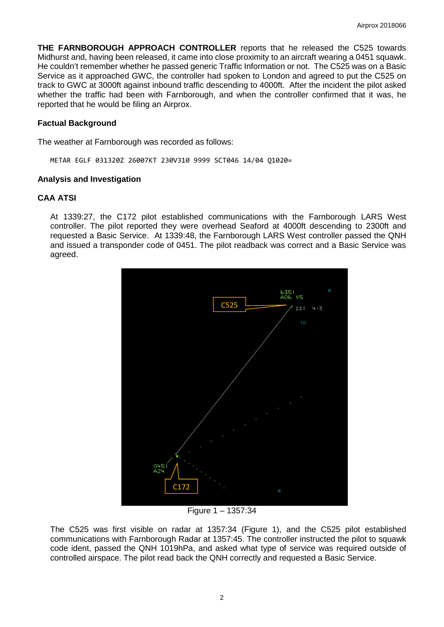**THE FARNBOROUGH APPROACH CONTROLLER** reports that he released the C525 towards Midhurst and, having been released, it came into close proximity to an aircraft wearing a 0451 squawk. He couldn't remember whether he passed generic Traffic Information or not. The C525 was on a Basic Service as it approached GWC, the controller had spoken to London and agreed to put the C525 on track to GWC at 3000ft against inbound traffic descending to 4000ft. After the incident the pilot asked whether the traffic had been with Farnborough, and when the controller confirmed that it was, he reported that he would be filing an Airprox.

## **Factual Background**

The weather at Farnborough was recorded as follows:

METAR EGLF 031320Z 26007KT 230V310 9999 SCT046 14/04 Q1020=

### **Analysis and Investigation**

## **CAA ATSI**

At 1339:27, the C172 pilot established communications with the Farnborough LARS West controller. The pilot reported they were overhead Seaford at 4000ft descending to 2300ft and requested a Basic Service. At 1339:48, the Farnborough LARS West controller passed the QNH and issued a transponder code of 0451. The pilot readback was correct and a Basic Service was agreed.



Figure 1 – 1357:34

The C525 was first visible on radar at 1357:34 (Figure 1), and the C525 pilot established communications with Farnborough Radar at 1357:45. The controller instructed the pilot to squawk code ident, passed the QNH 1019hPa, and asked what type of service was required outside of controlled airspace. The pilot read back the QNH correctly and requested a Basic Service.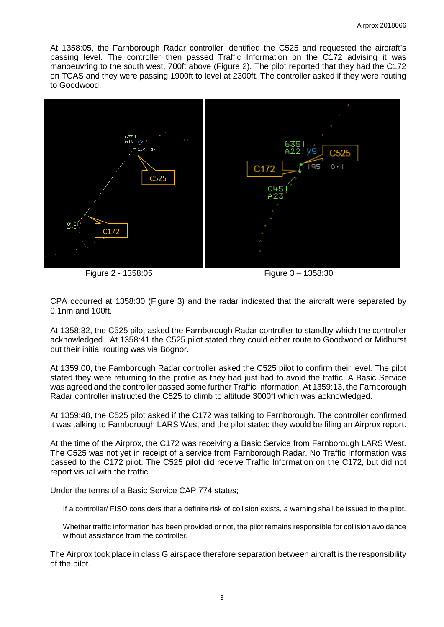At 1358:05, the Farnborough Radar controller identified the C525 and requested the aircraft's passing level. The controller then passed Traffic Information on the C172 advising it was manoeuvring to the south west, 700ft above (Figure 2). The pilot reported that they had the C172 on TCAS and they were passing 1900ft to level at 2300ft. The controller asked if they were routing to Goodwood.



Figure 2 - 1358:05 Figure 3 – 1358:30

CPA occurred at 1358:30 (Figure 3) and the radar indicated that the aircraft were separated by 0.1nm and 100ft.

At 1358:32, the C525 pilot asked the Farnborough Radar controller to standby which the controller acknowledged. At 1358:41 the C525 pilot stated they could either route to Goodwood or Midhurst but their initial routing was via Bognor.

At 1359:00, the Farnborough Radar controller asked the C525 pilot to confirm their level. The pilot stated they were returning to the profile as they had just had to avoid the traffic. A Basic Service was agreed and the controller passed some further Traffic Information. At 1359:13, the Farnborough Radar controller instructed the C525 to climb to altitude 3000ft which was acknowledged.

At 1359:48, the C525 pilot asked if the C172 was talking to Farnborough. The controller confirmed it was talking to Farnborough LARS West and the pilot stated they would be filing an Airprox report.

At the time of the Airprox, the C172 was receiving a Basic Service from Farnborough LARS West. The C525 was not yet in receipt of a service from Farnborough Radar. No Traffic Information was passed to the C172 pilot. The C525 pilot did receive Traffic Information on the C172, but did not report visual with the traffic.

Under the terms of a Basic Service CAP 774 states;

If a controller/ FISO considers that a definite risk of collision exists, a warning shall be issued to the pilot.

Whether traffic information has been provided or not, the pilot remains responsible for collision avoidance without assistance from the controller

The Airprox took place in class G airspace therefore separation between aircraft is the responsibility of the pilot.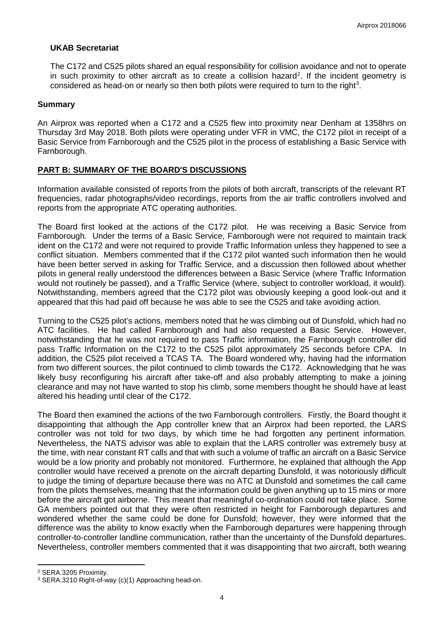## **UKAB Secretariat**

The C172 and C525 pilots shared an equal responsibility for collision avoidance and not to operate in such proximity to other aircraft as to create a collision hazard<sup>[2](#page-3-0)</sup>. If the incident geometry is considered as head-on or nearly so then both pilots were required to turn to the right<sup>[3](#page-3-1)</sup>.

### **Summary**

An Airprox was reported when a C172 and a C525 flew into proximity near Denham at 1358hrs on Thursday 3rd May 2018. Both pilots were operating under VFR in VMC, the C172 pilot in receipt of a Basic Service from Farnborough and the C525 pilot in the process of establishing a Basic Service with Farnborough.

## **PART B: SUMMARY OF THE BOARD'S DISCUSSIONS**

Information available consisted of reports from the pilots of both aircraft, transcripts of the relevant RT frequencies, radar photographs/video recordings, reports from the air traffic controllers involved and reports from the appropriate ATC operating authorities.

The Board first looked at the actions of the C172 pilot. He was receiving a Basic Service from Farnborough. Under the terms of a Basic Service, Farnborough were not required to maintain track ident on the C172 and were not required to provide Traffic Information unless they happened to see a conflict situation. Members commented that if the C172 pilot wanted such information then he would have been better served in asking for Traffic Service, and a discussion then followed about whether pilots in general really understood the differences between a Basic Service (where Traffic Information would not routinely be passed), and a Traffic Service (where, subject to controller workload, it would). Notwithstanding, members agreed that the C172 pilot was obviously keeping a good look-out and it appeared that this had paid off because he was able to see the C525 and take avoiding action.

Turning to the C525 pilot's actions, members noted that he was climbing out of Dunsfold, which had no ATC facilities. He had called Farnborough and had also requested a Basic Service. However, notwithstanding that he was not required to pass Traffic information, the Farnborough controller did pass Traffic Information on the C172 to the C525 pilot approximately 25 seconds before CPA. In addition, the C525 pilot received a TCAS TA. The Board wondered why, having had the information from two different sources, the pilot continued to climb towards the C172. Acknowledging that he was likely busy reconfiguring his aircraft after take-off and also probably attempting to make a joining clearance and may not have wanted to stop his climb, some members thought he should have at least altered his heading until clear of the C172.

The Board then examined the actions of the two Farnborough controllers. Firstly, the Board thought it disappointing that although the App controller knew that an Airprox had been reported, the LARS controller was not told for two days, by which time he had forgotten any pertinent information. Nevertheless, the NATS advisor was able to explain that the LARS controller was extremely busy at the time, with near constant RT calls and that with such a volume of traffic an aircraft on a Basic Service would be a low priority and probably not monitored. Furthermore, he explained that although the App controller would have received a prenote on the aircraft departing Dunsfold, it was notoriously difficult to judge the timing of departure because there was no ATC at Dunsfold and sometimes the call came from the pilots themselves, meaning that the information could be given anything up to 15 mins or more before the aircraft got airborne. This meant that meaningful co-ordination could not take place. Some GA members pointed out that they were often restricted in height for Farnborough departures and wondered whether the same could be done for Dunsfold; however, they were informed that the difference was the ability to know exactly when the Farnborough departures were happening through controller-to-controller landline communication, rather than the uncertainty of the Dunsfold departures. Nevertheless, controller members commented that it was disappointing that two aircraft, both wearing

l

<span id="page-3-0"></span><sup>2</sup> SERA.3205 Proximity.

<span id="page-3-1"></span><sup>3</sup> SERA.3210 Right-of-way (c)(1) Approaching head-on.